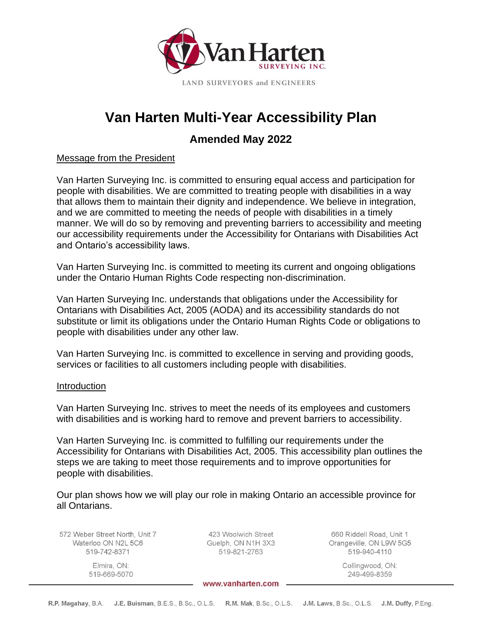

# **Van Harten Multi-Year Accessibility Plan**

## **Amended May 2022**

#### Message from the President

Van Harten Surveying Inc. is committed to ensuring equal access and participation for people with disabilities. We are committed to treating people with disabilities in a way that allows them to maintain their dignity and independence. We believe in integration, and we are committed to meeting the needs of people with disabilities in a timely manner. We will do so by removing and preventing barriers to accessibility and meeting our accessibility requirements under the Accessibility for Ontarians with Disabilities Act and Ontario's accessibility laws.

Van Harten Surveying Inc. is committed to meeting its current and ongoing obligations under the Ontario Human Rights Code respecting non-discrimination.

Van Harten Surveying Inc. understands that obligations under the Accessibility for Ontarians with Disabilities Act, 2005 (AODA) and its accessibility standards do not substitute or limit its obligations under the Ontario Human Rights Code or obligations to people with disabilities under any other law.

Van Harten Surveying Inc. is committed to excellence in serving and providing goods, services or facilities to all customers including people with disabilities.

#### **Introduction**

Van Harten Surveying Inc. strives to meet the needs of its employees and customers with disabilities and is working hard to remove and prevent barriers to accessibility.

Van Harten Surveying Inc. is committed to fulfilling our requirements under the Accessibility for Ontarians with Disabilities Act, 2005. This accessibility plan outlines the steps we are taking to meet those requirements and to improve opportunities for people with disabilities.

Our plan shows how we will play our role in making Ontario an accessible province for all Ontarians.

572 Weber Street North, Unit 7 Waterloo ON N2L 5C6 519-742-8371

> Elmira, ON: 519-669-5070

423 Woolwich Street Guelph, ON N1H 3X3 519-821-2763

660 Riddell Road, Unit 1 Orangeville, ON L9W 5G5 519-940-4110

Collingwood, ON:

249-499-8359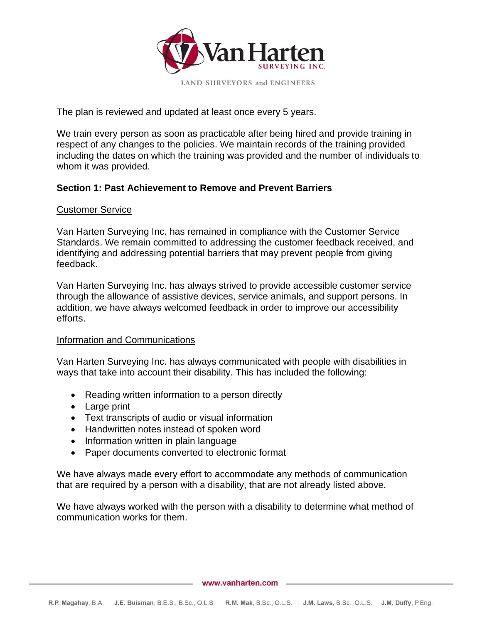

The plan is reviewed and updated at least once every 5 years.

We train every person as soon as practicable after being hired and provide training in respect of any changes to the policies. We maintain records of the training provided including the dates on which the training was provided and the number of individuals to whom it was provided.

#### **Section 1: Past Achievement to Remove and Prevent Barriers**

#### Customer Service

Van Harten Surveying Inc. has remained in compliance with the Customer Service Standards. We remain committed to addressing the customer feedback received, and identifying and addressing potential barriers that may prevent people from giving feedback.

Van Harten Surveying Inc. has always strived to provide accessible customer service through the allowance of assistive devices, service animals, and support persons. In addition, we have always welcomed feedback in order to improve our accessibility efforts.

#### Information and Communications

Van Harten Surveying Inc. has always communicated with people with disabilities in ways that take into account their disability. This has included the following:

- Reading written information to a person directly
- Large print
- Text transcripts of audio or visual information
- Handwritten notes instead of spoken word
- Information written in plain language
- Paper documents converted to electronic format

We have always made every effort to accommodate any methods of communication that are required by a person with a disability, that are not already listed above.

We have always worked with the person with a disability to determine what method of communication works for them.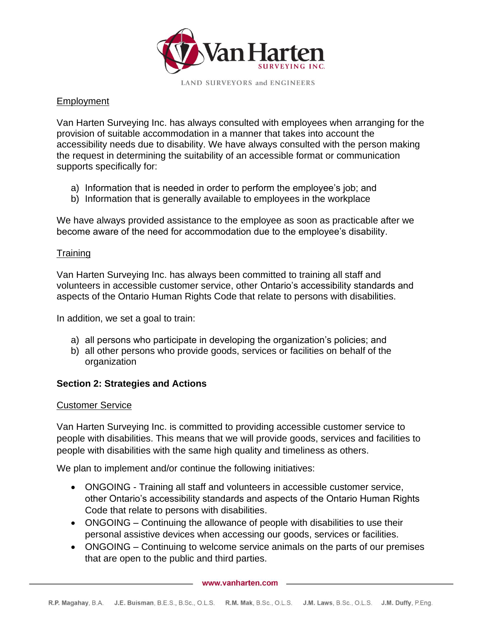

#### Employment

Van Harten Surveying Inc. has always consulted with employees when arranging for the provision of suitable accommodation in a manner that takes into account the accessibility needs due to disability. We have always consulted with the person making the request in determining the suitability of an accessible format or communication supports specifically for:

- a) Information that is needed in order to perform the employee's job; and
- b) Information that is generally available to employees in the workplace

We have always provided assistance to the employee as soon as practicable after we become aware of the need for accommodation due to the employee's disability.

#### Training

Van Harten Surveying Inc. has always been committed to training all staff and volunteers in accessible customer service, other Ontario's accessibility standards and aspects of the Ontario Human Rights Code that relate to persons with disabilities.

In addition, we set a goal to train:

- a) all persons who participate in developing the organization's policies; and
- b) all other persons who provide goods, services or facilities on behalf of the organization

#### **Section 2: Strategies and Actions**

#### Customer Service

Van Harten Surveying Inc. is committed to providing accessible customer service to people with disabilities. This means that we will provide goods, services and facilities to people with disabilities with the same high quality and timeliness as others.

We plan to implement and/or continue the following initiatives:

- ONGOING Training all staff and volunteers in accessible customer service, other Ontario's accessibility standards and aspects of the Ontario Human Rights Code that relate to persons with disabilities.
- ONGOING Continuing the allowance of people with disabilities to use their personal assistive devices when accessing our goods, services or facilities.
- ONGOING Continuing to welcome service animals on the parts of our premises that are open to the public and third parties.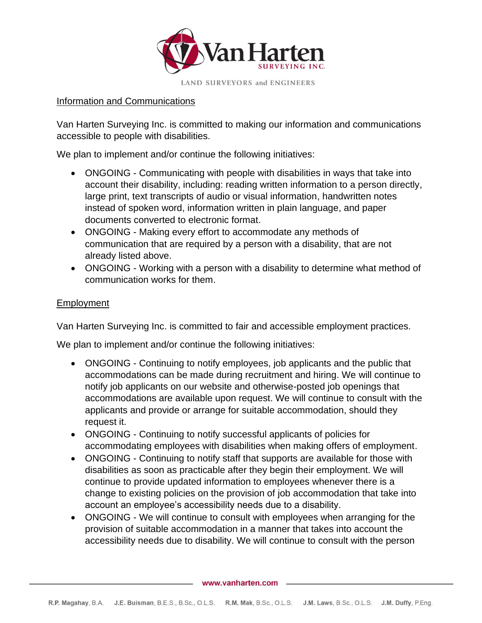

#### Information and Communications

Van Harten Surveying Inc. is committed to making our information and communications accessible to people with disabilities.

We plan to implement and/or continue the following initiatives:

- ONGOING Communicating with people with disabilities in ways that take into account their disability, including: reading written information to a person directly, large print, text transcripts of audio or visual information, handwritten notes instead of spoken word, information written in plain language, and paper documents converted to electronic format.
- ONGOING Making every effort to accommodate any methods of communication that are required by a person with a disability, that are not already listed above.
- ONGOING Working with a person with a disability to determine what method of communication works for them.

#### Employment

Van Harten Surveying Inc. is committed to fair and accessible employment practices.

We plan to implement and/or continue the following initiatives:

- ONGOING Continuing to notify employees, job applicants and the public that accommodations can be made during recruitment and hiring. We will continue to notify job applicants on our website and otherwise-posted job openings that accommodations are available upon request. We will continue to consult with the applicants and provide or arrange for suitable accommodation, should they request it.
- ONGOING Continuing to notify successful applicants of policies for accommodating employees with disabilities when making offers of employment.
- ONGOING Continuing to notify staff that supports are available for those with disabilities as soon as practicable after they begin their employment. We will continue to provide updated information to employees whenever there is a change to existing policies on the provision of job accommodation that take into account an employee's accessibility needs due to a disability.
- ONGOING We will continue to consult with employees when arranging for the provision of suitable accommodation in a manner that takes into account the accessibility needs due to disability. We will continue to consult with the person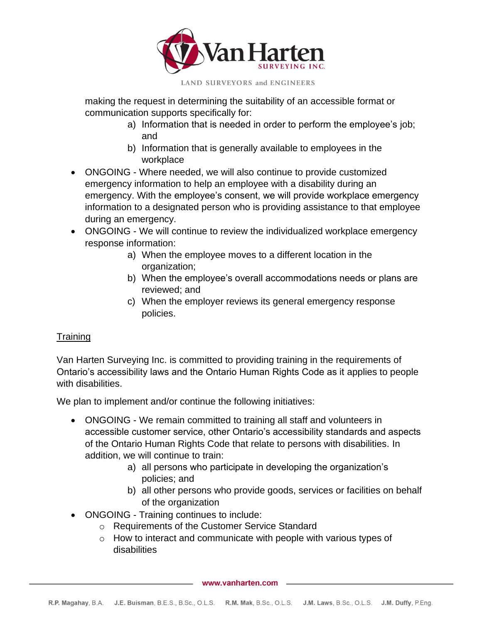

making the request in determining the suitability of an accessible format or communication supports specifically for:

- a) Information that is needed in order to perform the employee's job; and
- b) Information that is generally available to employees in the workplace
- ONGOING Where needed, we will also continue to provide customized emergency information to help an employee with a disability during an emergency. With the employee's consent, we will provide workplace emergency information to a designated person who is providing assistance to that employee during an emergency.
- ONGOING We will continue to review the individualized workplace emergency response information:
	- a) When the employee moves to a different location in the organization;
	- b) When the employee's overall accommodations needs or plans are reviewed; and
	- c) When the employer reviews its general emergency response policies.

### **Training**

Van Harten Surveying Inc. is committed to providing training in the requirements of Ontario's accessibility laws and the Ontario Human Rights Code as it applies to people with disabilities.

We plan to implement and/or continue the following initiatives:

- ONGOING We remain committed to training all staff and volunteers in accessible customer service, other Ontario's accessibility standards and aspects of the Ontario Human Rights Code that relate to persons with disabilities. In addition, we will continue to train:
	- a) all persons who participate in developing the organization's policies; and
	- b) all other persons who provide goods, services or facilities on behalf of the organization
- ONGOING Training continues to include:
	- o Requirements of the Customer Service Standard
	- $\circ$  How to interact and communicate with people with various types of disabilities